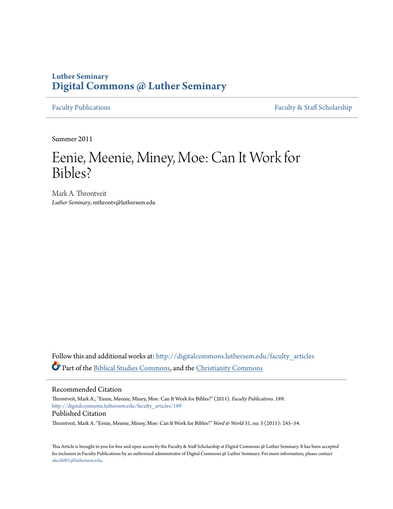### **Luther Seminary [Digital Commons @ Luther Seminary](http://digitalcommons.luthersem.edu?utm_source=digitalcommons.luthersem.edu%2Ffaculty_articles%2F189&utm_medium=PDF&utm_campaign=PDFCoverPages)**

[Faculty Publications](http://digitalcommons.luthersem.edu/faculty_articles?utm_source=digitalcommons.luthersem.edu%2Ffaculty_articles%2F189&utm_medium=PDF&utm_campaign=PDFCoverPages) [Faculty & Staff Scholarship](http://digitalcommons.luthersem.edu/faculty_staff?utm_source=digitalcommons.luthersem.edu%2Ffaculty_articles%2F189&utm_medium=PDF&utm_campaign=PDFCoverPages)

Summer 2011

## Eenie, Meenie, Miney, Moe: Can It Work for Bibles?

Mark A. Throntveit *Luther Seminary*, mthrontv@luthersem.edu

Follow this and additional works at: [http://digitalcommons.luthersem.edu/faculty\\_articles](http://digitalcommons.luthersem.edu/faculty_articles?utm_source=digitalcommons.luthersem.edu%2Ffaculty_articles%2F189&utm_medium=PDF&utm_campaign=PDFCoverPages) Part of the [Biblical Studies Commons,](http://network.bepress.com/hgg/discipline/539?utm_source=digitalcommons.luthersem.edu%2Ffaculty_articles%2F189&utm_medium=PDF&utm_campaign=PDFCoverPages) and the [Christianity Commons](http://network.bepress.com/hgg/discipline/1181?utm_source=digitalcommons.luthersem.edu%2Ffaculty_articles%2F189&utm_medium=PDF&utm_campaign=PDFCoverPages)

Recommended Citation

Throntveit, Mark A., "Eenie, Meenie, Miney, Moe: Can It Work for Bibles?" (2011). *Faculty Publications*. 189. [http://digitalcommons.luthersem.edu/faculty\\_articles/189](http://digitalcommons.luthersem.edu/faculty_articles/189?utm_source=digitalcommons.luthersem.edu%2Ffaculty_articles%2F189&utm_medium=PDF&utm_campaign=PDFCoverPages) Published Citation

Throntveit, Mark A. "Eenie, Meenie, Miney, Moe: Can It Work for Bibles?" *Word & World* 31, no. 3 (2011): 245–54.

This Article is brought to you for free and open access by the Faculty & Staff Scholarship at Digital Commons @ Luther Seminary. It has been accepted for inclusion in Faculty Publications by an authorized administrator of Digital Commons @ Luther Seminary. For more information, please contact [akeck001@luthersem.edu.](mailto:akeck001@luthersem.edu)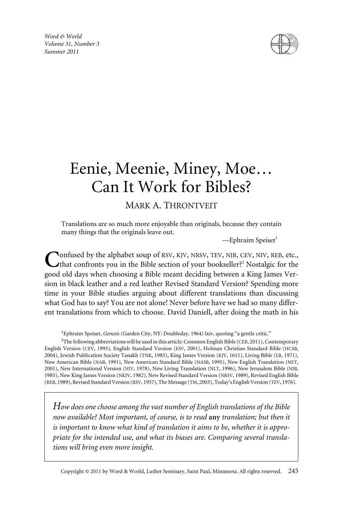*Word & World Volume 31, Number 3 Summer 2011*



# Eenie, Meenie, Miney, Moe… Can It Work for Bibles?

### MARK A. THRONTVEIT

Translations are so much more enjoyable than originals, because they contain many things that the originals leave out.

 $-$ Ephraim Speiser $<sup>1</sup>$ </sup>

Confused by the alphabet soup of RSV, KJV, NRSV, TEV, NJB, CEV, NIV, REB, etc.,<br>that confronts you in the Bible section of your bookseller?<sup>2</sup> Nostalgic for the good old days when choosing a Bible meant deciding between a King James Version in black leather and a red leather Revised Standard Version? Spending more time in your Bible studies arguing about different translations than discussing what God has to say? You are not alone! Never before have we had so many different translations from which to choose. David Daniell, after doing the math in his

<sup>1</sup>Ephraim Speiser, *Genesis* (Garden City, NY: Doubleday, 1964) lxiv, quoting "a gentle critic."

 $^{2}$ The following abbreviations will be used in this article: Common English Bible (CEB, 2011), Contemporary English Version (CEV, 1995), English Standard Version (ESV, 2001), Holman Christian Standard Bible (HCSB, 2004), Jewish Publication Society Tanakh (TNK, 1985), King James Version (KJV, 1611), Living Bible (LB, 1971), New American Bible (NAB, 1991), New American Standard Bible (NASB, 1995), New English Translation (NET, 2001), New International Version (NIV, 1978), New Living Translation (NLT, 1996), New Jerusalem Bible (NJB, 1985), New King James Version (NKJV, 1982), New Revised Standard Version (NRSV, 1989), Revised English Bible (REB, 1989), Revised Standard Version (RSV, 1957), The Message (TM, 2003), Today's English Version (TEV, 1976).

*How does one choose among the vast number of English translations of the Bible now available? Most important, of course, is to read* **any** *translation; but then it is important to know what kind of translation it aims to be, whether it is appropriate for the intended use, and what its biases are. Comparing several translations will bring even more insight.*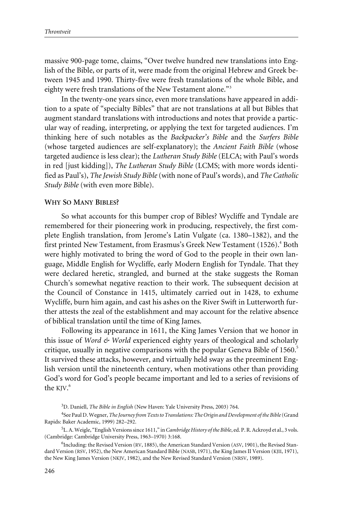massive 900-page tome, claims, "Over twelve hundred new translations into English of the Bible, or parts of it, were made from the original Hebrew and Greek between 1945 and 1990. Thirty-five were fresh translations of the whole Bible, and eighty were fresh translations of the New Testament alone."3

In the twenty-one years since, even more translations have appeared in addition to a spate of "specialty Bibles" that are not translations at all but Bibles that augment standard translations with introductions and notes that provide a particular way of reading, interpreting, or applying the text for targeted audiences. I'm thinking here of such notables as the *Backpacker's Bible* and the *Surfers Bible* (whose targeted audiences are self-explanatory); the *Ancient Faith Bible* (whose targeted audience is less clear); the *Lutheran Study Bible* (ELCA; with Paul's words in red [just kidding]), *The Lutheran Study Bible* (LCMS; with more words identified as Paul's), *The Jewish Study Bible*(with none of Paul's words), and *The Catholic Study Bible* (with even more Bible).

#### **WHY SO MANY BIBLES?**

So what accounts for this bumper crop of Bibles? Wycliffe and Tyndale are remembered for their pioneering work in producing, respectively, the first complete English translation, from Jerome's Latin Vulgate (ca. 1380–1382), and the first printed New Testament, from Erasmus's Greek New Testament (1526).<sup>4</sup> Both were highly motivated to bring the word of God to the people in their own language, Middle English for Wycliffe, early Modern English for Tyndale. That they were declared heretic, strangled, and burned at the stake suggests the Roman Church's somewhat negative reaction to their work. The subsequent decision at the Council of Constance in 1415, ultimately carried out in 1428, to exhume Wycliffe, burn him again, and cast his ashes on the River Swift in Lutterworth further attests the zeal of the establishment and may account for the relative absence of biblical translation until the time of King James.

Following its appearance in 1611, the King James Version that we honor in this issue of *Word & World* experienced eighty years of theological and scholarly critique, usually in negative comparisons with the popular Geneva Bible of 1560.<sup>5</sup> It survived these attacks, however, and virtually held sway as the preeminent English version until the nineteenth century, when motivations other than providing God's word for God's people became important and led to a series of revisions of the KJV. 6

<sup>3</sup> D. Daniell, *The Bible in English* (New Haven: Yale University Press, 2003) 764.

<sup>4</sup> See Paul D. Wegner, *The Journey from Texts to Translations: The Origin and Development of the Bible*(Grand Rapids: Baker Academic, 1999) 282–292.

<sup>5</sup> L. A. Weigle, "English Versions since 1611," in*Cambridge History of the Bible*, ed. P. R. Ackroyd et al., 3 vols. (Cambridge: Cambridge University Press, 1963–1970) 3:168.

<sup>&</sup>lt;sup>6</sup>Including: the Revised Version (RV, 1885), the American Standard Version (ASV, 1901), the Revised Standard Version (RSV, 1952), the New American Standard Bible (NASB, 1971), the King James II Version (KJII, 1971), the New King James Version (NKJV, 1982), and the New Revised Standard Version (NRSV, 1989).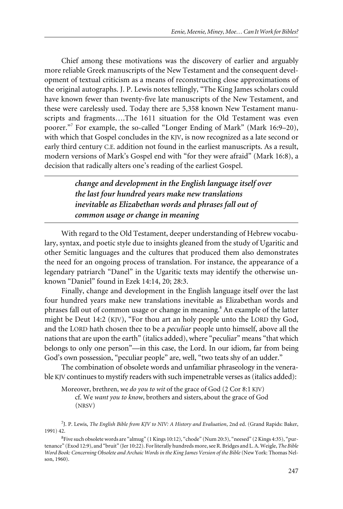Chief among these motivations was the discovery of earlier and arguably more reliable Greek manuscripts of the New Testament and the consequent development of textual criticism as a means of reconstructing close approximations of the original autographs. J. P. Lewis notes tellingly, "The King James scholars could have known fewer than twenty-five late manuscripts of the New Testament, and these were carelessly used. Today there are 5,358 known New Testament manuscripts and fragments….The 1611 situation for the Old Testament was even poorer."<sup>7</sup> For example, the so-called "Longer Ending of Mark" (Mark 16:9–20), with which that Gospel concludes in the KJV, is now recognized as a late second or early third century C.E. addition not found in the earliest manuscripts. As a result, modern versions of Mark's Gospel end with "for they were afraid" (Mark 16:8), a decision that radically alters one's reading of the earliest Gospel.

> *change and development in the English language itself over the last four hundred years make new translations inevitable as Elizabethan words and phrases fall out of common usage or change in meaning*

With regard to the Old Testament, deeper understanding of Hebrew vocabulary, syntax, and poetic style due to insights gleaned from the study of Ugaritic and other Semitic languages and the cultures that produced them also demonstrates the need for an ongoing process of translation. For instance, the appearance of a legendary patriarch "Danel" in the Ugaritic texts may identify the otherwise unknown "Daniel" found in Ezek 14:14, 20; 28:3.

Finally, change and development in the English language itself over the last four hundred years make new translations inevitable as Elizabethan words and phrases fall out of common usage or change in meaning.<sup>8</sup> An example of the latter might be Deut 14:2 (KJV), "For thou art an holy people unto the LORD thy God, and the LORD hath chosen thee to be a *peculiar* people unto himself, above all the nations that are upon the earth" (italics added), where "peculiar" means "that which belongs to only one person"—in this case, the Lord. In our idiom, far from being God's own possession, "peculiar people" are, well, "two teats shy of an udder."

The combination of obsolete words and unfamiliar phraseology in the venerable KJV continues to mystify readers with such impenetrable verses as (italics added):

Moreover, brethren, we *do you to wit* of the grace of God (2 Cor 8:1 KJV) cf. We *want you to know*, brothers and sisters, about the grace of God (NRSV)

7 J. P. Lewis, *The English Bible from KJV to NIV: A History and Evaluation*, 2nd ed. (Grand Rapids: Baker, 1991) 42.

<sup>&</sup>lt;sup>8</sup> Five such obsolete words are "almug" (1 Kings 10:12), "chode" (Num 20:3), "neesed" (2 Kings 4:35), "purtenance" (Exod 12:9), and "bruit" (Jer 10:22). For literally hundreds more, see R. Bridges and L. A. Weigle, *The Bible Word Book: Concerning Obsolete and Archaic Words in the King James Version of the Bible* (New York: Thomas Nelson, 1960).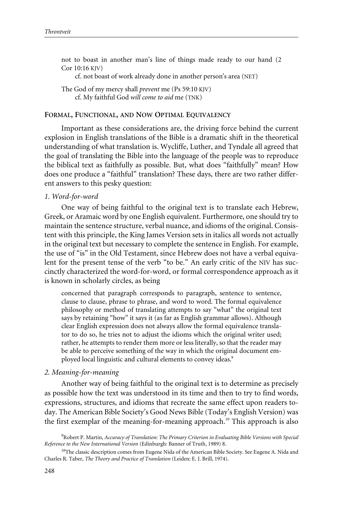not to boast in another man's line of things made ready to our hand (2 Cor 10:16 KJV)

cf. not boast of work already done in another person's area (NET)

The God of my mercy shall *prevent* me (Ps 59:10 KJV) cf. My faithful God *will come to aid* me (TNK)

#### **FORMAL, FUNCTIONAL, AND NOW OPTIMAL EQUIVALENCY**

Important as these considerations are, the driving force behind the current explosion in English translations of the Bible is a dramatic shift in the theoretical understanding of what translation is. Wycliffe, Luther, and Tyndale all agreed that the goal of translating the Bible into the language of the people was to reproduce the biblical text as faithfully as possible. But, what does "faithfully" mean? How does one produce a "faithful" translation? These days, there are two rather different answers to this pesky question:

#### *1. Word-for-word*

One way of being faithful to the original text is to translate each Hebrew, Greek, or Aramaic word by one English equivalent. Furthermore, one should try to maintain the sentence structure, verbal nuance, and idioms of the original. Consistent with this principle, the King James Version sets in italics all words not actually in the original text but necessary to complete the sentence in English. For example, the use of "is" in the Old Testament, since Hebrew does not have a verbal equivalent for the present tense of the verb "to be." An early critic of the NIV has succinctly characterized the word-for-word, or formal correspondence approach as it is known in scholarly circles, as being

concerned that paragraph corresponds to paragraph, sentence to sentence, clause to clause, phrase to phrase, and word to word. The formal equivalence philosophy or method of translating attempts to say "what" the original text says by retaining "how" it says it (as far as English grammar allows). Although clear English expression does not always allow the formal equivalence translator to do so, he tries not to adjust the idioms which the original writer used; rather, he attempts to render them more or less literally, so that the reader may be able to perceive something of the way in which the original document employed local linguistic and cultural elements to convey ideas.<sup>9</sup>

#### *2. Meaning-for-meaning*

Another way of being faithful to the original text is to determine as precisely as possible how the text was understood in its time and then to try to find words, expressions, structures, and idioms that recreate the same effect upon readers today. The American Bible Society's Good News Bible (Today's English Version) was the first exemplar of the meaning-for-meaning approach.<sup>10</sup> This approach is also

<sup>9</sup> Robert P. Martin, *Accuracy of Translation: The Primary Criterion in Evaluating Bible Versions with Special Reference to the New International Version* (Edinburgh: Banner of Truth, 1989) 8.

 $10$ The classic description comes from Eugene Nida of the American Bible Society. See Eugene A. Nida and Charles R. Taber, *The Theory and Practice of Translation* (Leiden: E. J. Brill, 1974).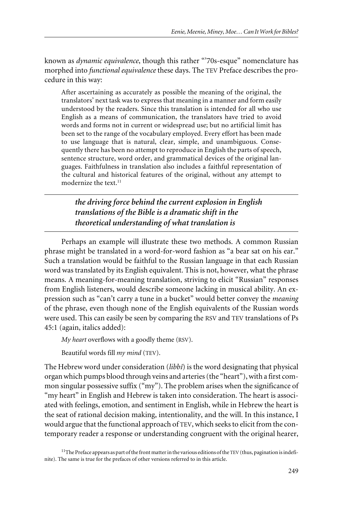known as *dynamic equivalence*, though this rather "'70s-esque" nomenclature has morphed into *functional equivalence* these days. The TEV Preface describes the procedure in this way:

After ascertaining as accurately as possible the meaning of the original, the translators' next task was to express that meaning in a manner and form easily understood by the readers. Since this translation is intended for all who use English as a means of communication, the translators have tried to avoid words and forms not in current or widespread use; but no artificial limit has been set to the range of the vocabulary employed. Every effort has been made to use language that is natural, clear, simple, and unambiguous. Consequently there has been no attempt to reproduce in English the parts of speech, sentence structure, word order, and grammatical devices of the original languages. Faithfulness in translation also includes a faithful representation of the cultural and historical features of the original, without any attempt to modernize the text.<sup>11</sup>

*the driving force behind the current explosion in English translations of the Bible is a dramatic shift in the theoretical understanding of what translation is*

Perhaps an example will illustrate these two methods. A common Russian phrase might be translated in a word-for-word fashion as "a bear sat on his ear." Such a translation would be faithful to the Russian language in that each Russian word was translated by its English equivalent. This is not, however, what the phrase means. A meaning-for-meaning translation, striving to elicit "Russian" responses from English listeners, would describe someone lacking in musical ability. An expression such as "can't carry a tune in a bucket" would better convey the *meaning* of the phrase, even though none of the English equivalents of the Russian words were used. This can easily be seen by comparing the RSV and TEV translations of Ps 45:1 (again, italics added):

*My heart* overflows with a goodly theme (RSV).

Beautiful words fill *my mind* (TEV).

The Hebrew word under consideration (*libbî*) is the word designating that physical organ which pumps blood through veins and arteries (the "heart"), with a first common singular possessive suffix ("my"). The problem arises when the significance of "my heart" in English and Hebrew is taken into consideration. The heart is associated with feelings, emotion, and sentiment in English, while in Hebrew the heart is the seat of rational decision making, intentionality, and the will. In this instance, I would argue that the functional approach of TEV, which seeks to elicit from the contemporary reader a response or understanding congruent with the original hearer,

<sup>11</sup>The Preface appears as part of the front matter in the various editions of the TEV (thus, pagination is indefinite). The same is true for the prefaces of other versions referred to in this article.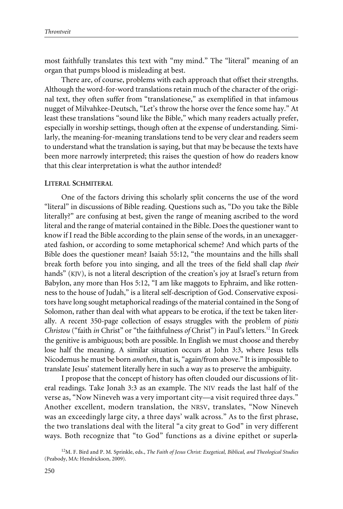most faithfully translates this text with "my mind." The "literal" meaning of an organ that pumps blood is misleading at best.

There are, of course, problems with each approach that offset their strengths. Although the word-for-word translations retain much of the character of the original text, they often suffer from "translationese," as exemplified in that infamous nugget of Milvahkee-Deutsch, "Let's throw the horse over the fence some hay." At least these translations "sound like the Bible," which many readers actually prefer, especially in worship settings, though often at the expense of understanding. Similarly, the meaning-for-meaning translations tend to be very clear and readers seem to understand what the translation is saying, but that may be because the texts have been more narrowly interpreted; this raises the question of how do readers know that this clear interpretation is what the author intended?

#### **LITERAL SCHMITERAL**

One of the factors driving this scholarly split concerns the use of the word "literal" in discussions of Bible reading. Questions such as, "Do you take the Bible literally?" are confusing at best, given the range of meaning ascribed to the word literal and the range of material contained in the Bible. Does the questioner want to know if I read the Bible according to the plain sense of the words, in an unexaggerated fashion, or according to some metaphorical scheme? And which parts of the Bible does the questioner mean? Isaiah 55:12, "the mountains and the hills shall break forth before you into singing, and all the trees of the field shall clap *their* hands" (KJV), is not a literal description of the creation's joy at Israel's return from Babylon, any more than Hos 5:12, "I am like maggots to Ephraim, and like rottenness to the house of Judah," is a literal self-description of God. Conservative expositors have long sought metaphorical readings of the material contained in the Song of Solomon, rather than deal with what appears to be erotica, if the text be taken literally. A recent 350-page collection of essays struggles with the problem of *pistis Christou* ("faith *in* Christ" or "the faithfulness *of* Christ") in Paul's letters.<sup>12</sup> In Greek the genitive is ambiguous; both are possible. In English we must choose and thereby lose half the meaning. A similar situation occurs at John 3:3, where Jesus tells Nicodemus he must be born *anothen*, that is, "again/from above." It is impossible to translate Jesus' statement literally here in such a way as to preserve the ambiguity.

I propose that the concept of history has often clouded our discussions of literal readings. Take Jonah 3:3 as an example. The NIV reads the last half of the verse as, "Now Nineveh was a very important city—a visit required three days." Another excellent, modern translation, the NRSV, translates, "Now Nineveh was an exceedingly large city, a three days' walk across." As to the first phrase, the two translations deal with the literal "a city great to God" in very different ways. Both recognize that "to God" functions as a divine epithet or superla-

<sup>12</sup>M. F. Bird and P. M. Sprinkle, eds., *The Faith of Jesus Christ: Exegetical, Biblical, and Theological Studies* (Peabody, MA: Hendrickson, 2009).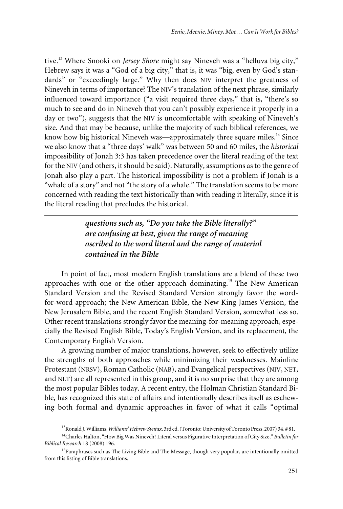tive.<sup>13</sup> Where Snooki on *Jersey Shore* might say Nineveh was a "helluva big city," Hebrew says it was a "God of a big city," that is, it was "big, even by God's standards" or "exceedingly large." Why then does NIV interpret the greatness of Nineveh in terms of importance? The NIV's translation of the next phrase, similarly influenced toward importance ("a visit required three days," that is, "there's so much to see and do in Nineveh that you can't possibly experience it properly in a day or two"), suggests that the NIV is uncomfortable with speaking of Nineveh's size. And that may be because, unlike the majority of such biblical references, we know how big historical Nineveh was—approximately three square miles.<sup>14</sup> Since we also know that a "three days' walk" was between 50 and 60 miles, the *historical* impossibility of Jonah 3:3 has taken precedence over the literal reading of the text for the NIV (and others, it should be said). Naturally, assumptions as to the genre of Jonah also play a part. The historical impossibility is not a problem if Jonah is a "whale of a story" and not "the story of a whale." The translation seems to be more concerned with reading the text historically than with reading it literally, since it is the literal reading that precludes the historical.

> *questions such as, "Do you take the Bible literally?" are confusing at best, given the range of meaning ascribed to the word literal and the range of material contained in the Bible*

In point of fact, most modern English translations are a blend of these two approaches with one or the other approach dominating.<sup>15</sup> The New American Standard Version and the Revised Standard Version strongly favor the wordfor-word approach; the New American Bible, the New King James Version, the New Jerusalem Bible, and the recent English Standard Version, somewhat less so. Other recent translations strongly favor the meaning-for-meaning approach, especially the Revised English Bible, Today's English Version, and its replacement, the Contemporary English Version.

A growing number of major translations, however, seek to effectively utilize the strengths of both approaches while minimizing their weaknesses. Mainline Protestant (NRSV), Roman Catholic (NAB), and Evangelical perspectives (NIV, NET, and NLT) are all represented in this group, and it is no surprise that they are among the most popular Bibles today. A recent entry, the Holman Christian Standard Bible, has recognized this state of affairs and intentionally describes itself as eschewing both formal and dynamic approaches in favor of what it calls "optimal

<sup>13</sup>Ronald J. Williams,*Williams' Hebrew Syntax*, 3rd ed. (Toronto: University of Toronto Press, 2007) 34, # 81.

<sup>14</sup>Charles Halton, "How Big Was Nineveh? Literal versus Figurative Interpretation of City Size," *Bulletin for Biblical Research* 18 (2008) 196.

<sup>&</sup>lt;sup>15</sup>Paraphrases such as The Living Bible and The Message, though very popular, are intentionally omitted from this listing of Bible translations.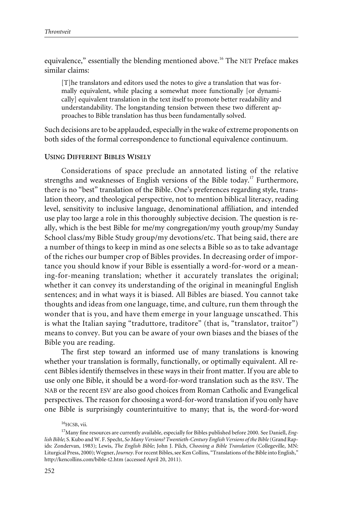equivalence," essentially the blending mentioned above.<sup>16</sup> The NET Preface makes similar claims:

[T]he translators and editors used the notes to give a translation that was formally equivalent, while placing a somewhat more functionally [or dynamically] equivalent translation in the text itself to promote better readability and understandability. The longstanding tension between these two different approaches to Bible translation has thus been fundamentally solved.

Such decisions are to be applauded, especially in the wake of extreme proponents on both sides of the formal correspondence to functional equivalence continuum.

#### **USING DIFFERENT BIBLES WISELY**

Considerations of space preclude an annotated listing of the relative strengths and weaknesses of English versions of the Bible today.<sup>17</sup> Furthermore, there is no "best" translation of the Bible. One's preferences regarding style, translation theory, and theological perspective, not to mention biblical literacy, reading level, sensitivity to inclusive language, denominational affiliation, and intended use play too large a role in this thoroughly subjective decision. The question is really, which is the best Bible for me/my congregation/my youth group/my Sunday School class/my Bible Study group/my devotions/etc. That being said, there are a number of things to keep in mind as one selects a Bible so as to take advantage of the riches our bumper crop of Bibles provides. In decreasing order of importance you should know if your Bible is essentially a word-for-word or a meaning-for-meaning translation; whether it accurately translates the original; whether it can convey its understanding of the original in meaningful English sentences; and in what ways it is biased. All Bibles are biased. You cannot take thoughts and ideas from one language, time, and culture, run them through the wonder that is you, and have them emerge in your language unscathed. This is what the Italian saying "traduttore, traditore" (that is, "translator, traitor") means to convey. But you can be aware of your own biases and the biases of the Bible you are reading.

The first step toward an informed use of many translations is knowing whether your translation is formally, functionally, or optimally equivalent. All recent Bibles identify themselves in these ways in their front matter. If you are able to use only one Bible, it should be a word-for-word translation such as the RSV. The NAB or the recent ESV are also good choices from Roman Catholic and Evangelical perspectives. The reason for choosing a word-for-word translation if you only have one Bible is surprisingly counterintuitive to many; that is, the word-for-word

 $^{16}$ HCSB, vii.

<sup>17</sup>Many fine resources are currently available, especially for Bibles published before 2000. See Daniell, *English Bible*; S. Kubo and W. F. Specht, *So Many Versions? Twentieth-Century English Versions of the Bible*(Grand Rapids: Zondervan, 1983); Lewis, *The English Bible*; John J. Pilch, *Choosing a Bible Translation* (Collegeville, MN: Liturgical Press, 2000); Wegner, *Journey*. For recent Bibles, see Ken Collins, "Translations of the Bible into English," http://kencollins.com/bible-t2.htm (accessed April 20, 2011).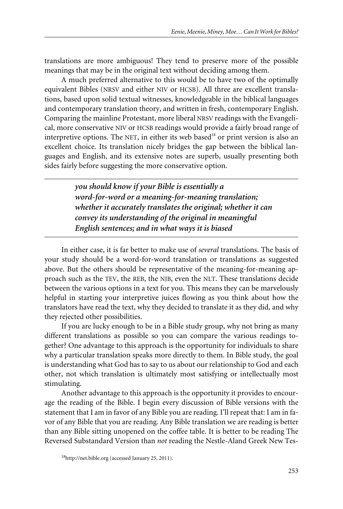translations are more ambiguous! They tend to preserve more of the possible meanings that may be in the original text without deciding among them.

A much preferred alternative to this would be to have two of the optimally equivalent Bibles (NRSV and either NIV or HCSB). All three are excellent translations, based upon solid textual witnesses, knowledgeable in the biblical languages and contemporary translation theory, and written in fresh, contemporary English. Comparing the mainline Protestant, more liberal NRSV readings with the Evangelical, more conservative NIV or HCSB readings would provide a fairly broad range of interpretive options. The NET, in either its web based<sup>18</sup> or print version is also an excellent choice. Its translation nicely bridges the gap between the biblical languages and English, and its extensive notes are superb, usually presenting both sides fairly before suggesting the more conservative option.

> *you should know if your Bible is essentially a word-for-word or a meaning-for-meaning translation; whether it accurately translates the original; whether it can convey its understanding of the original in meaningful English sentences; and in what ways it is biased*

In either case, it is far better to make use of *several* translations. The basis of your study should be a word-for-word translation or translations as suggested above. But the others should be representative of the meaning-for-meaning approach such as the TEV, the REB, the NJB, even the NLT. These translations decide between the various options in a text for you. This means they can be marvelously helpful in starting your interpretive juices flowing as you think about how the translators have read the text, why they decided to translate it as they did, and why they rejected other possibilities.

If you are lucky enough to be in a Bible study group, why not bring as many different translations as possible so you can compare the various readings together? One advantage to this approach is the opportunity for individuals to share why a particular translation speaks more directly to them. In Bible study, the goal is understanding what God has to say to us about our relationship to God and each other, not which translation is ultimately most satisfying or intellectually most stimulating.

Another advantage to this approach is the opportunity it provides to encourage the reading of the Bible. I begin every discussion of Bible versions with the statement that I am in favor of any Bible you are reading. I'll repeat that: I am in favor of any Bible that you are reading. Any Bible translation we are reading is better than any Bible sitting unopened on the coffee table. It is better to be reading The Reversed Substandard Version than *not* reading the Nestle-Aland Greek New Tes-

<sup>18</sup>http://net.bible.org (accessed January 25, 2011).